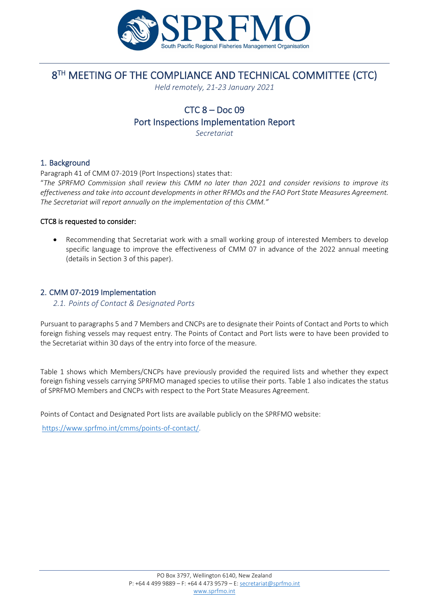

# 8<sup>TH</sup> MEETING OF THE COMPLIANCE AND TECHNICAL COMMITTEE (CTC)

*Held remotely, 21-23 January 2021*

# $CTC$   $8 - Doc$   $09$

Port Inspections Implementation Report

*Secretariat*

# 1. Background

Paragraph 41 of CMM 07-2019 (Port Inspections) states that: "*The SPRFMO Commission shall review this CMM no later than 2021 and consider revisions to improve its effectiveness and take into account developments in other RFMOs and the FAO Port State Measures Agreement. The Secretariat will report annually on the implementation of this CMM."*

### CTC8 is requested to consider:

• Recommending that Secretariat work with a small working group of interested Members to develop specific language to improve the effectiveness of CMM 07 in advance of the 2022 annual meeting (details in Section 3 of this paper).

# 2. CMM 07-2019 Implementation

## *2.1. Points of Contact & Designated Ports*

Pursuant to paragraphs 5 and 7 Members and CNCPs are to designate their Points of Contact and Ports to which foreign fishing vessels may request entry. The Points of Contact and Port lists were to have been provided to the Secretariat within 30 days of the entry into force of the measure.

Table 1 shows which Members/CNCPs have previously provided the required lists and whether they expect foreign fishing vessels carrying SPRFMO managed species to utilise their ports. Table 1 also indicates the status of SPRFMO Members and CNCPs with respect to the Port State Measures Agreement.

Points of Contact and Designated Port lists are available publicly on the SPRFMO website:

[https://www.sprfmo.int/cmms/points-of-contact/.](https://www.sprfmo.int/cmms/points-of-contact/)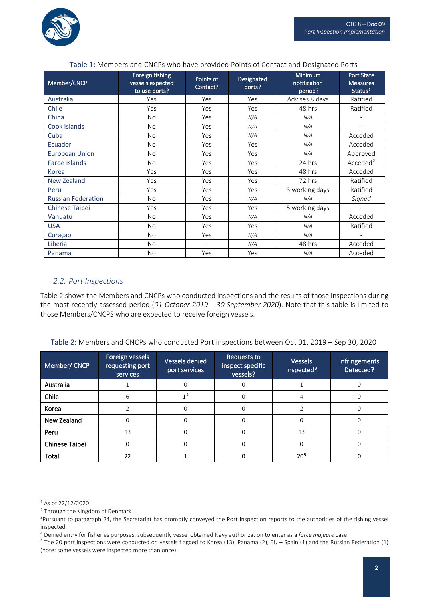

| Member/CNCP               | Foreign fishing<br>vessels expected<br>to use ports? | Points of<br>Contact? | Designated<br>ports? | <b>Minimum</b><br>notification<br>period? | <b>Port State</b><br><b>Measures</b><br>Status <sup>1</sup> |
|---------------------------|------------------------------------------------------|-----------------------|----------------------|-------------------------------------------|-------------------------------------------------------------|
| Australia                 | Yes                                                  | Yes                   | Yes                  | Advises 8 days                            | Ratified                                                    |
| Chile                     | Yes                                                  | Yes                   | Yes                  | 48 hrs                                    | Ratified                                                    |
| China                     | <b>No</b>                                            | Yes                   | N/A                  | N/A                                       |                                                             |
| Cook Islands              | <b>No</b>                                            | Yes                   | N/A                  | N/A                                       |                                                             |
| Cuba                      | <b>No</b>                                            | Yes                   | N/A                  | N/A                                       | Acceded                                                     |
| Ecuador                   | <b>No</b>                                            | Yes                   | Yes                  | N/A                                       | Acceded                                                     |
| <b>European Union</b>     | <b>No</b>                                            | Yes                   | Yes                  | N/A                                       | Approved                                                    |
| Faroe Islands             | <b>No</b>                                            | Yes                   | Yes                  | 24 hrs                                    | Acceded <sup>2</sup>                                        |
| Korea                     | Yes                                                  | Yes                   | Yes                  | 48 hrs                                    | Acceded                                                     |
| <b>New Zealand</b>        | Yes                                                  | Yes                   | Yes                  | 72 hrs                                    | Ratified                                                    |
| Peru                      | Yes                                                  | Yes                   | Yes                  | 3 working days                            | Ratified                                                    |
| <b>Russian Federation</b> | <b>No</b>                                            | Yes                   | N/A                  | N/A                                       | Signed                                                      |
| <b>Chinese Taipei</b>     | Yes                                                  | Yes                   | Yes                  | 5 working days                            | $\blacksquare$                                              |
| Vanuatu                   | <b>No</b>                                            | Yes                   | N/A                  | N/A                                       | Acceded                                                     |
| <b>USA</b>                | <b>No</b>                                            | Yes                   | Yes                  | N/A                                       | Ratified                                                    |
| Curaçao                   | <b>No</b>                                            | Yes                   | N/A                  | N/A                                       |                                                             |
| Liberia                   | <b>No</b>                                            |                       | N/A                  | 48 hrs                                    | Acceded                                                     |
| Panama                    | <b>No</b>                                            | Yes                   | Yes                  | N/A                                       | Acceded                                                     |

#### Table 1: Members and CNCPs who have provided Points of Contact and Designated Ports

### *2.2. Port Inspections*

Table 2 shows the Members and CNCPs who conducted inspections and the results of those inspections during the most recently assessed period (*01 October 2019 – 30 September 2020*). Note that this table is limited to those Members/CNCPS who are expected to receive foreign vessels.

| Table 2: Members and CNCPs who conducted Port inspections between Oct 01, 2019 - Sep 30, 2020 |  |  |
|-----------------------------------------------------------------------------------------------|--|--|
|-----------------------------------------------------------------------------------------------|--|--|

| Member/ CNCP   | Foreign vessels<br>requesting port<br>services | Vessels denied<br>port services | Requests to<br>inspect specific<br>vessels? | <b>Vessels</b><br>Inspected <sup>3</sup> | Infringements<br>Detected? |
|----------------|------------------------------------------------|---------------------------------|---------------------------------------------|------------------------------------------|----------------------------|
| Australia      |                                                |                                 |                                             |                                          |                            |
| Chile          | 6                                              | 14                              |                                             |                                          |                            |
| Korea          |                                                |                                 | U                                           |                                          |                            |
| New Zealand    | $\Omega$                                       |                                 |                                             |                                          |                            |
| Peru           | 13                                             |                                 |                                             | 13                                       |                            |
| Chinese Taipei | $\cap$                                         |                                 |                                             |                                          |                            |
| Total          | 22                                             |                                 |                                             | 20 <sup>5</sup>                          |                            |

<span id="page-1-0"></span> $1$  As of 22/12/2020

<span id="page-1-1"></span><sup>2</sup> Through the Kingdom of Denmark

<span id="page-1-2"></span><sup>&</sup>lt;sup>3</sup>Pursuant to paragraph 24, the Secretariat has promptly conveyed the Port Inspection reports to the authorities of the fishing vessel inspected.

<span id="page-1-3"></span><sup>4</sup> Denied entry for fisheries purposes; subsequently vessel obtained Navy authorization to enter as a *force majeure* case

<span id="page-1-4"></span><sup>&</sup>lt;sup>5</sup> The 20 port inspections were conducted on vessels flagged to Korea (13), Panama (2), EU – Spain (1) and the Russian Federation (1) (note: some vessels were inspected more than once).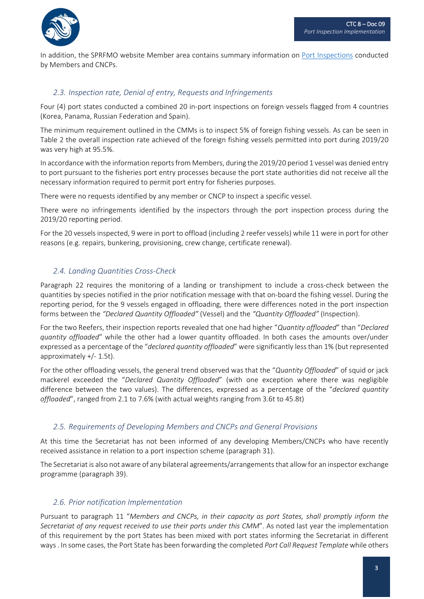

In addition, the SPRFMO website Member area contains summary information on [Port Inspections](https://www.sprfmo.int/member-pages/port-inspections/) conducted by Members and CNCPs.

# *2.3. Inspection rate, Denial of entry, Requests and Infringements*

Four (4) port states conducted a combined 20 in-port inspections on foreign vessels flagged from 4 countries (Korea, Panama, Russian Federation and Spain).

The minimum requirement outlined in the CMMs is to inspect 5% of foreign fishing vessels. As can be seen in Table 2 the overall inspection rate achieved of the foreign fishing vessels permitted into port during 2019/20 was very high at 95.5%.

In accordance with the information reports from Members, during the 2019/20 period 1 vessel was denied entry to port pursuant to the fisheries port entry processes because the port state authorities did not receive all the necessary information required to permit port entry for fisheries purposes.

There were no requests identified by any member or CNCP to inspect a specific vessel.

There were no infringements identified by the inspectors through the port inspection process during the 2019/20 reporting period.

For the 20 vessels inspected, 9 were in port to offload (including 2 reefer vessels) while 11 were in port for other reasons (e.g. repairs, bunkering, provisioning, crew change, certificate renewal).

# *2.4. Landing Quantities Cross-Check*

Paragraph 22 requires the monitoring of a landing or transhipment to include a cross-check between the quantities by species notified in the prior notification message with that on-board the fishing vessel. During the reporting period, for the 9 vessels engaged in offloading, there were differences noted in the port inspection forms between the *"Declared Quantity Offloaded"* (Vessel) and the *"Quantity Offloaded"* (Inspection).

For the two Reefers, their inspection reports revealed that one had higher "*Quantity offloaded*" than "*Declared quantity offloaded*" while the other had a lower quantity offloaded. In both cases the amounts over/under expressed as a percentage of the "*declared quantity offloaded*" were significantly less than 1% (but represented approximately +/- 1.5t).

For the other offloading vessels, the general trend observed was that the "*Quantity Offloaded*" of squid or jack mackerel exceeded the "*Declared Quantity Offloaded*" (with one exception where there was negligible difference between the two values). The differences, expressed as a percentage of the "*declared quantity offloaded*", ranged from 2.1 to 7.6% (with actual weights ranging from 3.6t to 45.8t)

### *2.5. Requirements of Developing Members and CNCPs and General Provisions*

At this time the Secretariat has not been informed of any developing Members/CNCPs who have recently received assistance in relation to a port inspection scheme (paragraph 31).

The Secretariat is also not aware of any bilateral agreements/arrangements that allow for an inspector exchange programme (paragraph 39).

### *2.6. Prior notification Implementation*

Pursuant to paragraph 11 "*Members and CNCPs, in their capacity as port States, shall promptly inform the Secretariat of any request received to use their ports under this CMM*". As noted last year the implementation of this requirement by the port States has been mixed with port states informing the Secretariat in different ways . In some cases, the Port State has been forwarding the completed *Port Call Request Template* while others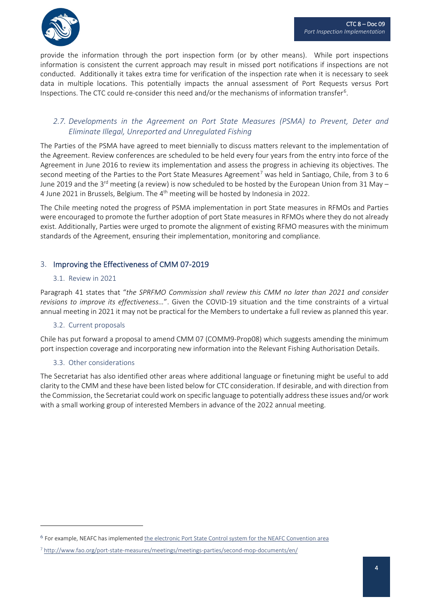

provide the information through the port inspection form (or by other means). While port inspections information is consistent the current approach may result in missed port notifications if inspections are not conducted. Additionally it takes extra time for verification of the inspection rate when it is necessary to seek data in multiple locations. This potentially impacts the annual assessment of Port Requests versus Port Inspections. The CTC could re-consider this need and/or the mechanisms of information transfer<sup>[6](#page-3-0)</sup>.

# *2.7. Developments in the Agreement on Port State Measures (PSMA) to Prevent, Deter and Eliminate Illegal, Unreported and Unregulated Fishing*

The Parties of the PSMA have agreed to meet biennially to discuss matters relevant to the implementation of the Agreement. Review conferences are scheduled to be held every four years from the entry into force of the Agreement in June 2016 to review its implementation and assess the progress in achieving its objectives. The second meeting of the Parties to the Port State Measures Agreement<sup>[7](#page-3-1)</sup> was held in Santiago, Chile, from 3 to 6 June 2019 and the 3<sup>rd</sup> meeting (a review) is now scheduled to be hosted by the European Union from 31 May – 4 June 2021 in Brussels, Belgium. The 4<sup>th</sup> meeting will be hosted by Indonesia in 2022.

The Chile meeting noted the progress of PSMA implementation in port State measures in RFMOs and Parties were encouraged to promote the further adoption of port State measures in RFMOs where they do not already exist. Additionally, Parties were urged to promote the alignment of existing RFMO measures with the minimum standards of the Agreement, ensuring their implementation, monitoring and compliance.

# 3. Improving the Effectiveness of CMM 07-2019

#### 3.1. Review in 2021

Paragraph 41 states that "*the SPRFMO Commission shall review this CMM no later than 2021 and consider revisions to improve its effectiveness…*". Given the COVID-19 situation and the time constraints of a virtual annual meeting in 2021 it may not be practical for the Members to undertake a full review as planned this year.

### 3.2. Current proposals

Chile has put forward a proposal to amend CMM 07 (COMM9-Prop08) which suggests amending the minimum port inspection coverage and incorporating new information into the Relevant Fishing Authorisation Details.

### 3.3. Other considerations

The Secretariat has also identified other areas where additional language or finetuning might be useful to add clarity to the CMM and these have been listed below for CTC consideration. If desirable, and with direction from the Commission, the Secretariat could work on specific language to potentially address these issues and/or work with a small working group of interested Members in advance of the 2022 annual meeting.

<span id="page-3-0"></span><sup>6</sup> For example, NEAFC has implemented [the electronic Port State Control system for the NEAFC Convention area](https://psc.neafc.org/welcome)

<span id="page-3-1"></span><sup>7</sup> <http://www.fao.org/port-state-measures/meetings/meetings-parties/second-mop-documents/en/>